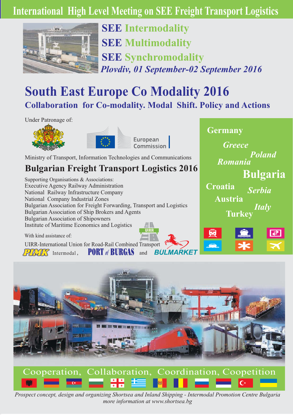# **International High Level Meeting on SEE Freight Transport Logistics**



*Plovdiv, 01 September-02 September 2016* **SEE Intermodality SEE Multimodality SEE Synchromodality**

# **South East Europe Co Modality 2016 Collaboration for Co-modality. Modal Shift. Policy and Actions**

Under Patronage of:



Ministry of Transport, Information Technologies and Communications

## **Bulgarian Freight Transport Logistics 2016**

Supporting Organisations & Associations: Executive Agency Railway Administration National Railway Infrastructure Company National Company Industrial Zones Bulgarian Association for Freight Forwarding, Transport and Logistics Bulgarian Association of Ship Brokers and Agents Institute of Maritime Economics and Logistics Bulgarian Association of Shipowners

**RUI MARKET** 

With kind assistance of:

 $IDING$  Intermodal, UIRR-International Union for Road-Rail Combined Transport **PORT** of **BURGAS** and



*Greece*

*Romania*

**Germany**

**Bulgaria**

*Poland*



Prospect concept, design and organizing Shortsea and Inland Shipping - Intermodal Promotion Centre Bulgaria *more information at www.shortsea.bg*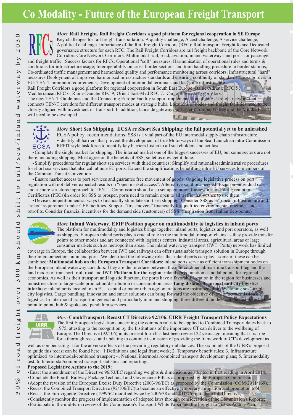# **Co Modality - Future of the European Freight Transport**

*More* **Rail Freight. Rail Freight Corridors a good platform for regional cooperation in SE Europe** Key challenges for rail freight transportation: A quality challenge; A cost challenge; A service challenge; A political challenge. Importance of the Rail Freight Corridors (RFC): Rail transport Freight focus; Dedicated - **EXECUTE:** The Rail Freight Corridors are rail freight backbone of the Core Network Corridors. Core Network Corridors: Multimodal -rail, road, aviation; inland waterways and ports-for passenge Corridors.Core Network Corridors: Multimodal -rail, road, aviation; inland waterways and ports-for passenger and freight traffic. Success factors for RFCs: Operational "soft" measures: Harmonisation of operational rules and terms & conditions for infrastructure usage; Interoperability on cross-border sections and train handling procedure in border stations; Co-ordinated traffic management and harmonised quality and performance monitoring across corridors; Infrastructural "hard" measures;Deployment of improved harmonised infrastructure standards and ensuring continuity of standards across borders in EU: TEN-T minimum requirements; Development of intermodal terminals and last-mile infrastructure. Rail Freight Corridors a good platform for regional cooperation in South East Europe -Baltic-Adriatic RFC 5; Mediterranean RFC 6; Rhine-Danube RFC 9; Orient East-Med RFC 7. Cargo flows along corridors.

The new TEN-T Guidelines and the Connecting Europe Facility support implementation of an EU freight network that connects TEN-T corridors for different transport modes at strategic hubs. Locations of nodes and freight facilities need to be closely aligned with investment in transport. In addition, landside gateways to Eastern Europe, Turkey and the Middle East will need to be developed.



### *More* Short Sea Shipping. ECSA re Short Sea Shipping: the full potential yet to be unleashed ECSA policy recommendations: SSS is a vital part of the EU intermodal supply chain infrastructure.

Identify all barriers that prevent the development of true Motorways of the Sea. Launch an intra-Commission REFIT-style task force to identify key barriers.Listen to all stakeholders and act fast

Complete the single market for shipping: The internal market one of the biggest successes of EU, but some sectors are not there, including shipping. Most agree on the benefits of SSS, so let us now get it done.

Simplify procedures for regular short sea services with third countries: Simplify and rationaliseadministrative procedures for short sea services that also call at non-EU ports. Extend the simplifications benefitting intra-EU services to members of the Common Transit Convention.

Certificates (PECs)In order for SSS to prosper, ports need to remain open to all traffic that wishes to use them. Ensure market access to port services and guarantee free movement of goods: Ongoing legislative process on port regulation will not deliver expected results on "open market access". Alternative solutions needed: focus on individual cases and a more structured approach to TEN-T. Commission should also set up common framework for Pilot Exemption

. retrofits Consider financial incentives for the demand side (customers) of SSS. (Inspiration from Italian Eco-bonus) Devise competitionneutral ways to financially stimulate short sea shipping: Consider SSS as European infrastructure and "relax" requirement under CEF facilities. Support "first-movers" financially for qualified environmental upgrades and



*More* **Inland Waterway. EFIP Position paper on multimodality & logistics in inland ports** The platform for multimodality and logistics brings together inland ports, logistics and port operators, as well as shippers. European inland ports play a crucial role in the multimodal transport chains as they provide transfer consumer markets such as metropolitan areas. The inland waterway transport (IWT+Ports) network has limited points to other modes and are connected with logistics centers, industrial areas, agricultural areas or large

coverage in Europe, the collaboration between IWT and railways can offer sustainable transport solution in Europe through their interconnections in inland ports. We identified the following roles that inland ports can play - some of these can be combined: Multimodal hub on the European Transport Corridors: inland ports serve as efficient transshipment nodes on the European inland waterway corridors. They are the interface between the intercontinental/maritime transport leg and the land modes of transport -rail, road and IWT. Platform for the region: inland ports function as nodal points for regional economies. As well as their transport and logistic function, the ports have a favorable location in the region for businesses and industries close to large-scale production/distribution or consumption areas. **Long distance transport and city logistics** : inland ports located in an EU capital or major urban agglomerations are instrumental in developing sustainable **interface** city logistics. Cargo bundling, innovation and smart solutions can bring forward the objective of low or zero-emission city logistics. In intermodal transport in general and particularly in inland shipping, three different models can be distinguish point to point, hub & spoke and pendulum services.



*More* CombTransport. Recast CT Directive 92/106. UIRR Freight Transport Policy Expectations The first European legislation concerning the common rules to be applied to Combined Transport dates back to 1975, attesting to the recognition by the Institutions of the importance CT can deliver to the wellbeing of Europe. The Directive (92/106) in its present form has last been revised 22 years ago, meaning that it is ripe for a thorough recast and updating to continue its mission of providing the framework of CT's development as

well as compensating it for the adverse effects of the prevailing regulatory imbalances. The six points of the UIRR's proposal to guide this recast can be found here: 1.Definitions and legal framework; 2. Temporary benefit rules; 3. Infrastructure optimized to intermodal/combined transport; 4. National intermodal/combined transport development plans; 5. Intermodality test; 6. Intermodal/combined transport statistics and reporting **.**

### **Proposed Legislative Actions to the 2019:**

- Enact the amendment of the Directive 96/53/EC regarding weights & dimensions as adopted in first reading in April 2014;
- Conclude the Fourth Railway Package Technical and Governance Pillars as proposed by the European Commission,
- Adopt the revision of the European Excise Duty Directive (2003/96/EC) as proposed by the Commission (COM/2011/169),
- Recast the Combined Transport Directive (92/106/EC)to become an effective temporary mitigation and promotion tool;
- Recast the Eurovignette Directive (1999/62 modified twice by 2006/38 and 2011/76) into the eToll Directive;
- Consistently monitor the progress of implementation of adopted laws through consideration of the Commission's Reports;
- Participate in the mid-term review of the Commission's Transport White Paper and the Freight Logistics Action-Plan.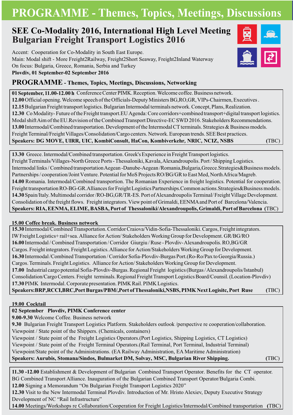# **PROGRAMME - Themes, Topics, Meetings, Discussions**

## **SEE Co-Modality 2016, International High Level Meeting Bulgarian Freight Transport Logistics 2016**

Accent: Cooperation for Co-Modality in South East Europe. Main: Modal shift - More Freight2Railway, Freight2Short Seaway, Freight2Inland Waterway On focus: Bulgaria, Greece, Romania, Serbia and Turkey **Plovdiv, 01 September-02 September 2016**



## **PROGRAMME - Themes, Topics, Meetings, Discussions, Networking**

12.00 Official opening. Welcome speech of the Officials-Deputy Ministers BG,RO,GR, VIPs-Chairmen, Executives. 12.15 Bulgarian Freight transport logistics. Bulgarian Intermodal terminals network. Concept, Plans, Realization. 12.30 Co Modality-Future of the Freight transport.EU Agenda: Core corridors+combined transport+digital transport logistics. Modal shift Aim of the EU.Revision of the Combined Transport Directive-EC SWD 2016. Stakeholders Recommendations. 13.00 Intermodal/Combined transportation. Development of the Intermodal CT terminals. Strategies & Business models. Freight Terminal/Freight Villages/Consolidation/Cargo centers. Network. European trends. SEE Best practices. 01 September, 11.00-12.00 h Conference Center PIMK. Reception. Welcome coffee. Business network.  $S$ peakers: DG MOVE, UIRR, UIC, KombiConsult, HaCon, Kombiverkehr, NRIC, NCIZ, NSBS *(TBC)* 

13.30 Greece. Intermodal/Combined transportation. Greek's Experience in Freight Transport logistics. Freight Terminals/Villages-North Greece Ports - Thessaloniki, Kavala, Alexandroupolis. Port / Shipping Logistics. Partnerships / cooperation/Joint Venture. Potential for MoS Projects RO/BG/GR to East Med, North Africa/Magreb. 14.30 Spain/Italy. Multimodal corridor /RO-BG,GR/TR-ES. Port of Alexandroupolis Terminal/ Freight Village Development. Consolidation of the freight flows. Freight integrators. View point of Grimaldi, EENMA and Port of Barcelona/Valencia. Intermodal links / Combined transportation Aegean -Danube-Aegean /Romania,Bulgaria,Greece.Strategies&Business models. 14.00 Romania. Intermodal/Combined transportion. The Romanian Experience in freight logistics. Potential for cooperation. Freight transportation RO-BG-GR.Alliances for Freight Logistics Partnerships.Common actions. Strategies&Business models. **Speakers: RIA, EENMA, ELIME, BASBA, Port of Thessaloniki/Alexandroupolis, Grimaldi, Port of Barcelona (** TBC)

## **15.00 Coffee break. Business network**

15.30 Intermodal/Combined Transportation. Corridor Craiova/Vidin-Sofia-Thessaloniki. Cargos, Freight integrators. 16.00 Intermodal / Combined Transportation / Corridor Giurgiu / Ruse - Plovdiv-Alexandroupolis. RO,BG/GR Cargos. Freight integrators. Freight Logistics. Alliance for Action/Stakeholders Working Group for Development. 17.00 Industrial cargo potential Sofia-Plovdiv-Burgas. Regional Freight logistics (Burgas / Alexandroupolis/Istanbul) Consolidation/Cargo Centers. Freight terminals. Regional Freight Transport Logistics Board/Counsil. (Location-Plovdiv) 17.30 PIMK Intermodal. Corporate presentation. PIMK Rail. PIMK Logistics. 16.30 Intermodal /Combined Transportation / Corridor Sofia-Plovdiv-Burgas Port.(Ro-Ro/Pax to Georgia/Russia.) Cargos. Terminals. Freight Logistics. Alliance for Action/Stakeholders Working Group for Development. IW Freight Logistics+ rail+sea. Alliance for Action/ Stakeholders Working Group for Development. GR/BG/RO  ${\bf Speakers:}$   ${\bf BRP,}$   ${\bf RCCI,}$   ${\bf BRC,}$   ${\bf Port \, Burgas/}$   ${\bf PBM/},$   ${\bf Port \, of \,}$   ${\bf Thessaloniki,}$   ${\bf NSSS,}$   ${\bf PIMK Next}$   ${\bf Logisitic,}$   ${\bf Port \,}$   ${\bf Ruse}$ **(** TBC)

**19.00 Cocktail**

## **02 September Plovdiv, PIMK Conference center**

9.00-9.30 Welcome Coffee. Business network

9.30 Bulgarian Freight Transport Logistics Platform. Stakeholders outlook /perspective re cooperation/collaboration. Viewpoint / State point of the Shippers. (Chemicals, containers)

Viewpoint / State point of the Freight Logistics Operators.(Port Logistics, Shipping Logistics, CT Logistics) Viewpoint / State point of the Freight Terminal Operators.(Rail Terminal, Port Terminal, Industrial Terminal) Viewpoint/State point of the Administrations. (EA Railway Administration, EA Maritime Administration) **Speakers: Aurubis, Stomana/Sindos, Bulmarket DM, Solvay MSC, , Bulgarian River Shipping.**

**(** TBC)

11.30 -12.00 Establishment & Development of Bulgarian Combined Transport Operator. Benefits for the CT operator. BG Combined Transport Alliance. Inauguration of the Bulgarian Combined Transport Operator/Bulgaria Combi. 12.00 Signing a Memorandum "On Bulgarian Freight Transport Logistics 2020"

12.30 Visit to the New Intermodal Terminal Plovdiv. Introduction of Mr. Hristo Alexiev, Deputy Executive Strategy Development of NC "Rail Infrastructure"

14.00 Meetings/Workshops re Collaboration/Cooperation for Freight Logistics/Intermodal/Combined transportation (TBC)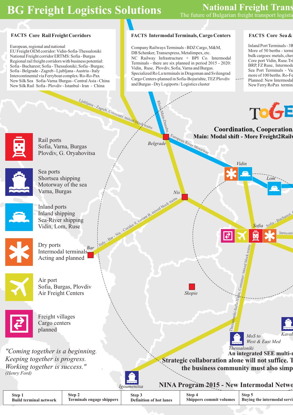# **BG Freight Logistics Solutions National Freight Trans**

## **FACTS** Core Rail Freight Corridors

European, regional and national National Freight corridor ERTMS: Sofia - Burgas Regional rail freight corridors with business potential: Sofia - Bucharest; Sofia - Thessaloniki; Sofia - Burgas; Sofia - Belgrade - Zagreb - Ljubljana - Austria - Italy Intercontinental via Ferryboat complex /Ro-Ro-Pax New Silk Sea Sofia-Varna /Burgas - Central Asia - China EU Freight OEM corridor: Vidin-Sofia-Thessaloniki New Silk Rail Sofia - Plovdiv - Istanbul - Iran - China

## **Intermodal Terminals, Cargo Centers FACTS FACTS FACTS**

Company Railways Terminals - BDZ Cargo, M&M, DB Schenker, Transexpress, Metalimpex, etc. NC Railway Infrastructure + BPI Co. Intermodal Terminals - there are six planned in period 2015 - 2020: Vidin, Ruse, Plovdiv, Sofia, Varna and Burgas. Specialized Ro La terminals in Dragoman and Svilengrad Cargo Centers-planned in Sofia-Bojurishte, TEZ Plovdiv and Burgas - Dry Logiports / Logistics cluster

### **FACTS** Core Sea &

Inland Port Terminals - 3R More of 50 berths - termi bulk cargoes: metals, cher Core port Vidin, Ruse.Tri BRP, FZ Ruse, Intermoda Sea Port Terminals - Va more of 100 berths . Ro-Fe Planned: New Intermodal New Ferry RoPax termin



| <b>Step</b>                   | Step 2                    | Step .                         | Step 4                         | Step :                              |
|-------------------------------|---------------------------|--------------------------------|--------------------------------|-------------------------------------|
| <b>Build terminal network</b> | Terminals engage shippers | <b>Definition of hot lanes</b> | <b>Shippers commit volumes</b> | <b>Buying the intermodal servi-</b> |
|                               |                           |                                |                                |                                     |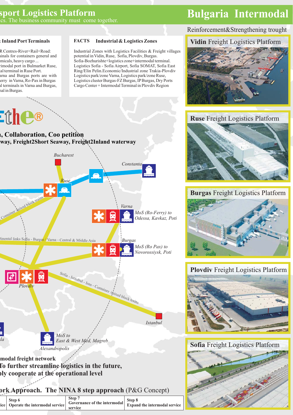## **sport Logistics Platform Bulgaria Intermodal** ics. The business community must come together.

### **& Inland Port Terminals**

R Centres-River+Rail+Road: hinals for containers general and emicals, heavy cargo ... rimodal port in Bulmarket Ruse, lal terminal in Ruse Port. arna and Burgas ports are with l terminals in Varna and Burgas, nal in Burgas . erry in Varna, Ro-Pax in Burgas



#### **Industrial & Logistics Zones FACTS**

Industrial Zones with Logistics Facilities & Freight villages potential in Vidin, Ruse, Sofia, Plovdiv, Burgas. Sofia-Bozhurishte+logistics zone+intermodal terminal. Logistics Sofia - Sofia Airport, Sofia SOMAT, Sofia East Logistics park/zone Varna, Logistics park/zone Ruse, Logistics cluster Burgas -FZ Burgas, IPBurgas, Dry Port s Ring/Elin Pelin. Economic/Industrial zone Trakia-Plovdiv Cargo Center + Intermodal Terminal in Plovdiv Region

## Reinforcement&Strengthening trought

## **Vidin** Freight Logistics Platform



## **Ruse** Freight Logistics Platform



## **Burgas** Freight Logistics Platform



## **Plovdiv** Freight Logistics Platform



**Sofia** Freight Logistics Platform



# **lway, Freight2Short Seaway, Freight2Inland waterway n, Collaboration, Coo petition**



**To further streamline logistics in the future, ply cooperate at the operational level**

## **ork Approach. The NINA 8 step approach (P&G Concept)**

|  | Step 6<br>$\begin{vmatrix} \text{cyclic} \\ \text{Operating} \end{vmatrix}$ Covernance of the intermodal $\begin{vmatrix} \text{cyclic} \\ \text{Expand} \end{vmatrix}$ for the intermodal service | Step 7<br>service | Step 8 |
|--|----------------------------------------------------------------------------------------------------------------------------------------------------------------------------------------------------|-------------------|--------|
|--|----------------------------------------------------------------------------------------------------------------------------------------------------------------------------------------------------|-------------------|--------|